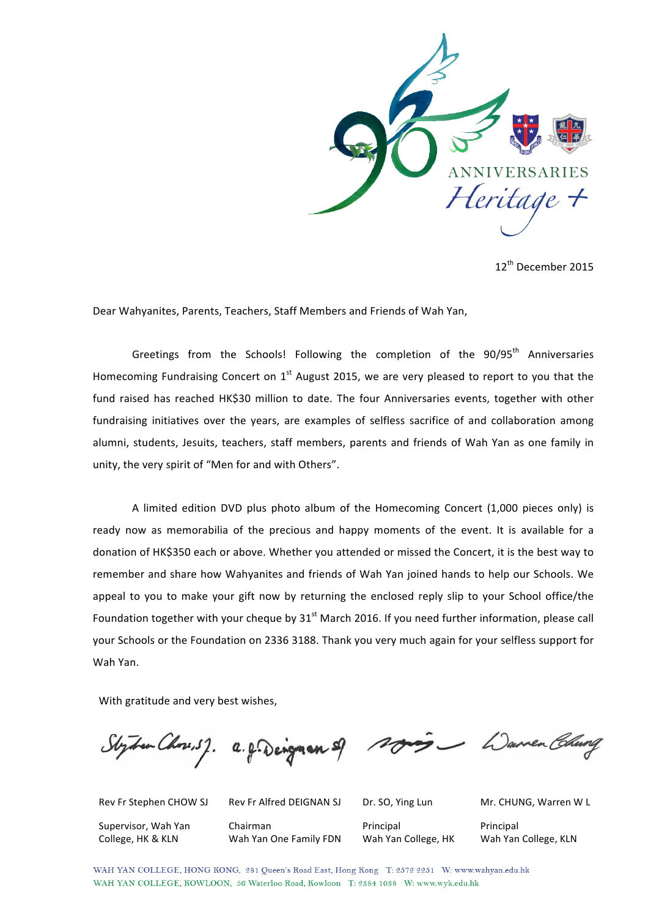

12th December 2015

Dear Wahyanites, Parents, Teachers, Staff Members and Friends of Wah Yan,

Greetings from the Schools! Following the completion of the 90/95<sup>th</sup> Anniversaries Homecoming Fundraising Concert on 1<sup>st</sup> August 2015, we are very pleased to report to you that the fund raised has reached HK\$30 million to date. The four Anniversaries events, together with other fundraising initiatives over the years, are examples of selfless sacrifice of and collaboration among alumni, students, Jesuits, teachers, staff members, parents and friends of Wah Yan as one family in unity, the very spirit of "Men for and with Others".

A limited edition DVD plus photo album of the Homecoming Concert (1,000 pieces only) is ready now as memorabilia of the precious and happy moments of the event. It is available for a donation of HK\$350 each or above. Whether you attended or missed the Concert, it is the best way to remember and share how Wahyanites and friends of Wah Yan joined hands to help our Schools. We appeal to you to make your gift now by returning the enclosed reply slip to your School office/the Foundation together with your cheque by  $31<sup>st</sup>$  March 2016. If you need further information, please call your Schools or the Foundation on 2336 3188. Thank you very much again for your selfless support for Wah Yan.

With gratitude and very best wishes,

Styden Chose, 5%. a. g. Dengman

Supervisor, Wah Yan College, HK & KLN

Chairman Wah Yan One Family FDN

Principal Wah Yan College, HK

Rev Fr Stephen CHOW SJ Rev Fr Alfred DEIGNAN SJ Dr. SO, Ying Lun Mr. CHUNG, Warren W L

Principal Wah Yan College, KLN

WAH YAN COLLEGE, HONG KONG, 281 Queen's Road East, Hong Kong T: 2572 2251 W: www.wahyan.edu.hk WAH YAN COLLEGE, KOWLOON, 56 Waterloo Road, Kowloon T: 2384 1038 W: www.wyk.edu.hk